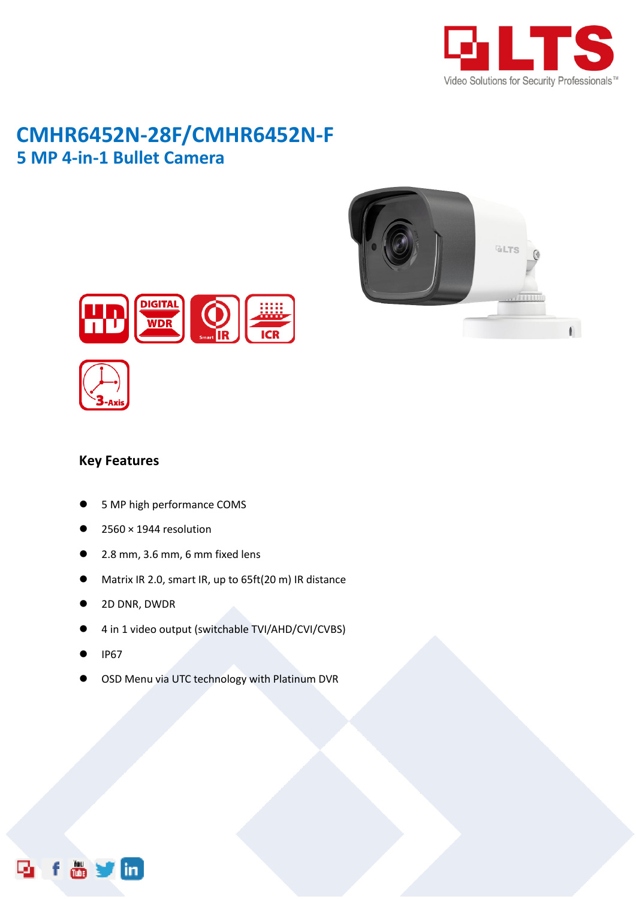

# **CMHR6452N-28F/CMHR6452N-F 5 MP 4-in-1 Bullet Camera**





#### **Key Features**

- 5 MP high performance COMS
- 2560 × 1944 resolution
- 2.8 mm, 3.6 mm, 6 mm fixed lens
- Matrix IR 2.0, smart IR, up to 65ft(20 m) IR distance
- 2D DNR, DWDR
- 4 in 1 video output (switchable TVI/AHD/CVI/CVBS)
- IP67
- OSD Menu via UTC technology with Platinum DVR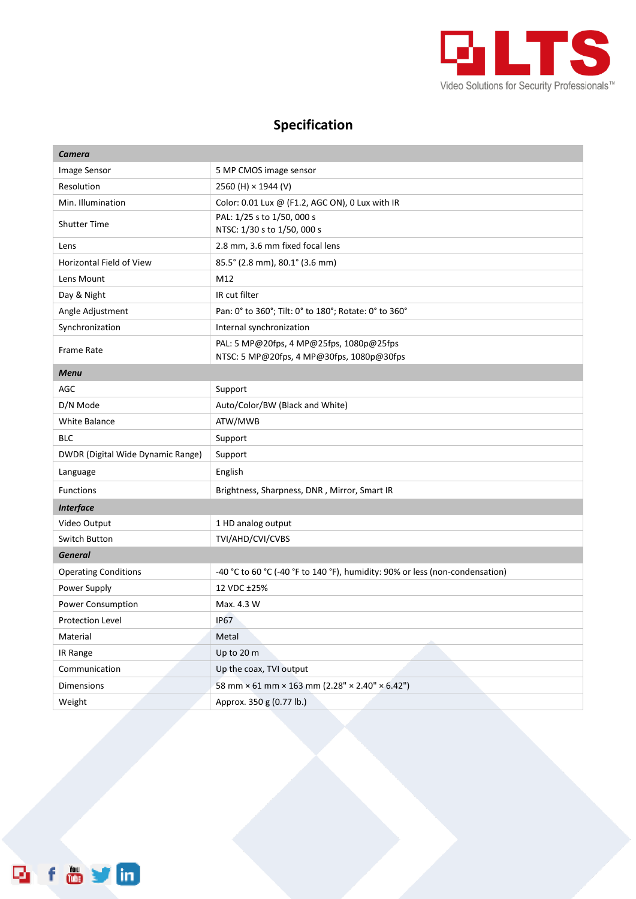

## **Specification**

| <b>Camera</b>                     |                                                                                       |
|-----------------------------------|---------------------------------------------------------------------------------------|
| Image Sensor                      | 5 MP CMOS image sensor                                                                |
| Resolution                        | 2560 (H) × 1944 (V)                                                                   |
| Min. Illumination                 | Color: 0.01 Lux @ (F1.2, AGC ON), 0 Lux with IR                                       |
| <b>Shutter Time</b>               | PAL: 1/25 s to 1/50, 000 s<br>NTSC: 1/30 s to 1/50, 000 s                             |
| Lens                              | 2.8 mm, 3.6 mm fixed focal lens                                                       |
| Horizontal Field of View          | 85.5° (2.8 mm), 80.1° (3.6 mm)                                                        |
| Lens Mount                        | M12                                                                                   |
| Day & Night                       | IR cut filter                                                                         |
| Angle Adjustment                  | Pan: 0° to 360°; Tilt: 0° to 180°; Rotate: 0° to 360°                                 |
| Synchronization                   | Internal synchronization                                                              |
| <b>Frame Rate</b>                 | PAL: 5 MP@20fps, 4 MP@25fps, 1080p@25fps<br>NTSC: 5 MP@20fps, 4 MP@30fps, 1080p@30fps |
| Menu                              |                                                                                       |
| AGC                               | Support                                                                               |
| D/N Mode                          | Auto/Color/BW (Black and White)                                                       |
| <b>White Balance</b>              | ATW/MWB                                                                               |
| <b>BLC</b>                        | Support                                                                               |
| DWDR (Digital Wide Dynamic Range) | Support                                                                               |
| Language                          | English                                                                               |
| <b>Functions</b>                  | Brightness, Sharpness, DNR, Mirror, Smart IR                                          |
| <b>Interface</b>                  |                                                                                       |
| Video Output                      | 1 HD analog output                                                                    |
| Switch Button                     | TVI/AHD/CVI/CVBS                                                                      |
| <b>General</b>                    |                                                                                       |
| <b>Operating Conditions</b>       | -40 °C to 60 °C (-40 °F to 140 °F), humidity: 90% or less (non-condensation)          |
| Power Supply                      | 12 VDC ±25%                                                                           |
| Power Consumption                 | Max. 4.3 W                                                                            |
| <b>Protection Level</b>           | <b>IP67</b>                                                                           |
| Material                          | Metal                                                                                 |
| IR Range                          | Up to 20 m                                                                            |
| Communication                     | Up the coax, TVI output                                                               |
| Dimensions                        | 58 mm × 61 mm × 163 mm (2.28" × 2.40" × 6.42")                                        |
| Weight                            | Approx. 350 g (0.77 lb.)                                                              |

f a y in Q,